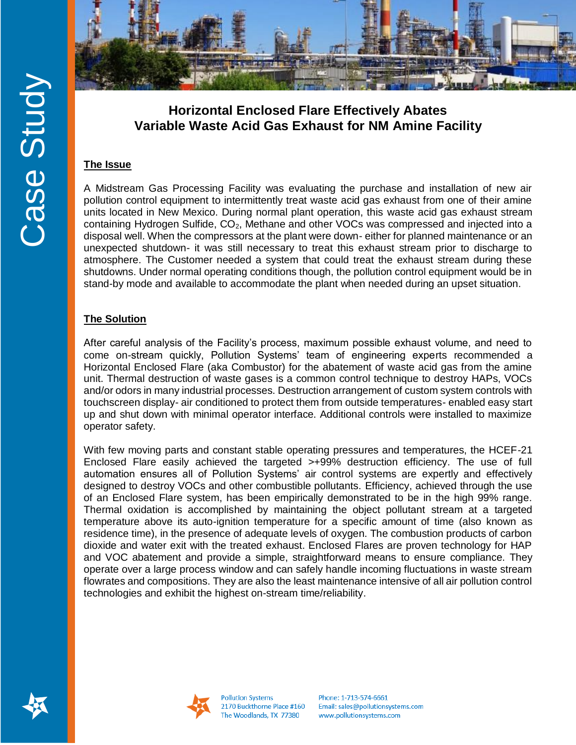

# **Horizontal Enclosed Flare Effectively Abates Variable Waste Acid Gas Exhaust for NM Amine Facility**

#### **The Issue**

A Midstream Gas Processing Facility was evaluating the purchase and installation of new air pollution control equipment to intermittently treat waste acid gas exhaust from one of their amine units located in New Mexico. During normal plant operation, this waste acid gas exhaust stream containing Hydrogen Sulfide,  $CO<sub>2</sub>$ , Methane and other VOCs was compressed and injected into a disposal well. When the compressors at the plant were down- either for planned maintenance or an unexpected shutdown- it was still necessary to treat this exhaust stream prior to discharge to atmosphere. The Customer needed a system that could treat the exhaust stream during these shutdowns. Under normal operating conditions though, the pollution control equipment would be in stand-by mode and available to accommodate the plant when needed during an upset situation.

### **The Solution**

After careful analysis of the Facility's process, maximum possible exhaust volume, and need to come on-stream quickly, Pollution Systems' team of engineering experts recommended a Horizontal Enclosed Flare (aka Combustor) for the abatement of waste acid gas from the amine unit. Thermal destruction of waste gases is a common control technique to destroy HAPs, VOCs and/or odors in many industrial processes. Destruction arrangement of custom system controls with touchscreen display- air conditioned to protect them from outside temperatures- enabled easy start up and shut down with minimal operator interface. Additional controls were installed to maximize operator safety.

With few moving parts and constant stable operating pressures and temperatures, the HCEF-21 Enclosed Flare easily achieved the targeted >+99% destruction efficiency. The use of full automation ensures all of Pollution Systems' air control systems are expertly and effectively designed to destroy VOCs and other combustible pollutants. Efficiency, achieved through the use of an Enclosed Flare system, has been empirically demonstrated to be in the high 99% range. Thermal oxidation is accomplished by maintaining the object pollutant stream at a targeted temperature above its auto-ignition temperature for a specific amount of time (also known as residence time), in the presence of adequate levels of oxygen. The combustion products of carbon dioxide and water exit with the treated exhaust. Enclosed Flares are proven technology for HAP and VOC abatement and provide a simple, straightforward means to ensure compliance. They operate over a large process window and can safely handle incoming fluctuations in waste stream flowrates and compositions. They are also the least maintenance intensive of all air pollution control technologies and exhibit the highest on-stream time/reliability.